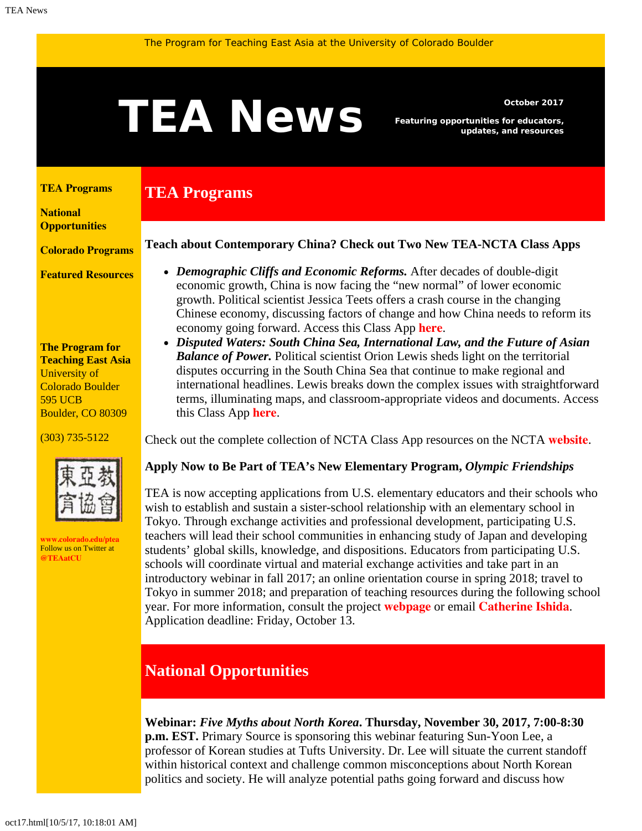# <span id="page-0-1"></span>October 2017<br> **TEANEWS** Featuring opportunities for educators,<br>
updates, and resources

**TEA Programs**

*Featuring opportunities for educators, updates, and resources*

#### <span id="page-0-0"></span>**[TEA Programs](#page-0-0)**

**[National](#page-0-1)  [Opportunities](#page-0-1)**

**[Colorado Programs](#page-0-1)**

**[Featured Resources](#page-2-0)**

**The Program for Teaching East Asia** University of Colorado Boulder 595 UCB Boulder, CO 80309

(303) 735-5122



**[www.colorado.edu/ptea](http://www.colorado.edu/cas/tea)** Follow us on Twitter at **[@TEAatCU](https://twitter.com/TEAatCU)**

#### **Teach about Contemporary China? Check out Two New TEA-NCTA Class Apps**

- *Demographic Cliffs and Economic Reforms.* After decades of double-digit economic growth, China is now facing the "new normal" of lower economic growth. Political scientist Jessica Teets offers a crash course in the changing Chinese economy, discussing factors of change and how China needs to reform its economy going forward. Access this Class App **[here](http://nctasia.org/resources/class-apps/chinese-contemporary-issues/#demographic)**.
- *Disputed Waters: South China Sea, International Law, and the Future of Asian Balance of Power.* Political scientist Orion Lewis sheds light on the territorial disputes occurring in the South China Sea that continue to make regional and international headlines. Lewis breaks down the complex issues with straightforward terms, illuminating maps, and classroom-appropriate videos and documents. Access this Class App **[here](http://nctasia.org/resources/class-apps/chinese-contemporary-issues/#disputed)**.

Check out the complete collection of NCTA Class App resources on the NCTA **[website](http://nctasia.org/resources/class-apps/)**.

### **Apply Now to Be Part of TEA's New Elementary Program,** *Olympic Friendships*

TEA is now accepting applications from U.S. elementary educators and their schools who wish to establish and sustain a sister-school relationship with an elementary school in Tokyo. Through exchange activities and professional development, participating U.S. teachers will lead their school communities in enhancing study of Japan and developing students' global skills, knowledge, and dispositions. Educators from participating U.S. schools will coordinate virtual and material exchange activities and take part in an introductory webinar in fall 2017; an online orientation course in spring 2018; travel to Tokyo in summer 2018; and preparation of teaching resources during the following school year. For more information, consult the project **[webpage](http://www.colorado.edu/ptea/programs/teaching-east-asia-japan/olympic-friendships-elementary-education-global-competency-japan)** or email **[Catherine Ishida](mailto:catherine.ishida@colorado.edu)**. Application deadline: Friday, October 13.

# **National Opportunities**

**Webinar:** *Five Myths about North Korea***. Thursday, November 30, 2017, 7:00-8:30 p.m. EST.** Primary Source is sponsoring this webinar featuring Sun-Yoon Lee, a professor of Korean studies at Tufts University. Dr. Lee will situate the current standoff within historical context and challenge common misconceptions about North Korean politics and society. He will analyze potential paths going forward and discuss how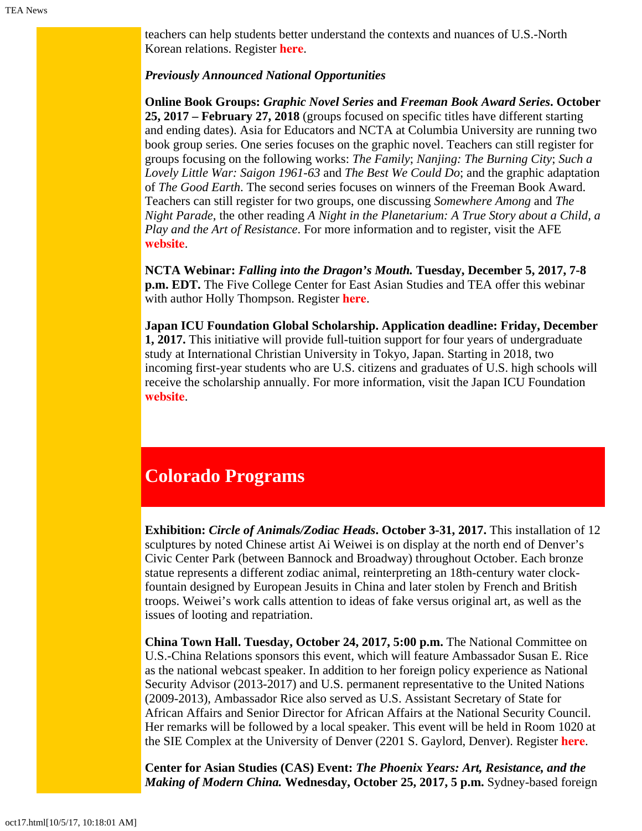teachers can help students better understand the contexts and nuances of U.S.-North Korean relations. Register **[here](https://attendee.gototraining.com/r/4579494901288449794)**.

#### *Previously Announced National Opportunities*

**Online Book Groups:** *Graphic Novel Series* **and** *Freeman Book Award Series***. October 25, 2017 – February 27, 2018** (groups focused on specific titles have different starting and ending dates). Asia for Educators and NCTA at Columbia University are running two book group series. One series focuses on the graphic novel. Teachers can still register for groups focusing on the following works: *The Family*; *Nanjing: The Burning City*; *Such a Lovely Little War: Saigon 1961-63* and *The Best We Could Do*; and the graphic adaptation of *The Good Earth*. The second series focuses on winners of the Freeman Book Award. Teachers can still register for two groups, one discussing *Somewhere Among* and *The Night Parade*, the other reading *A Night in the Planetarium: A True Story about a Child, a Play and the Art of Resistance*. For more information and to register, visit the AFE **[website](http://afe.easia.columbia.edu/online_course/)**.

**NCTA Webinar:** *Falling into the Dragon's Mouth.* **Tuesday, December 5, 2017, 7-8 p.m. EDT.** The Five College Center for East Asian Studies and TEA offer this webinar with author Holly Thompson. Register **[here](https://register.gotowebinar.com/register/1324661207584911618)**.

**Japan ICU Foundation Global Scholarship. Application deadline: Friday, December 1, 2017.** This initiative will provide full-tuition support for four years of undergraduate study at International Christian University in Tokyo, Japan. Starting in 2018, two incoming first-year students who are U.S. citizens and graduates of U.S. high schools will receive the scholarship annually. For more information, visit the Japan ICU Foundation **[website](http://jicuf.org/ussi)**.

# **Colorado Programs**

**Exhibition:** *Circle of Animals/Zodiac Heads***. October 3-31, 2017.** This installation of 12 sculptures by noted Chinese artist Ai Weiwei is on display at the north end of Denver's Civic Center Park (between Bannock and Broadway) throughout October. Each bronze statue represents a different zodiac animal, reinterpreting an 18th-century water clockfountain designed by European Jesuits in China and later stolen by French and British troops. Weiwei's work calls attention to ideas of fake versus original art, as well as the issues of looting and repatriation.

**China Town Hall. Tuesday, October 24, 2017, 5:00 p.m.** The National Committee on U.S.-China Relations sponsors this event, which will feature Ambassador Susan E. Rice as the national webcast speaker. In addition to her foreign policy experience as National Security Advisor (2013-2017) and U.S. permanent representative to the United Nations (2009-2013), Ambassador Rice also served as U.S. Assistant Secretary of State for African Affairs and Senior Director for African Affairs at the National Security Council. Her remarks will be followed by a local speaker. This event will be held in Room 1020 at the SIE Complex at the University of Denver (2201 S. Gaylord, Denver). Register **[here](http://www.du.edu/korbel/china/events/forums.html)**.

**Center for Asian Studies (CAS) Event:** *The Phoenix Years: Art, Resistance, and the Making of Modern China.* **Wednesday, October 25, 2017, 5 p.m.** Sydney-based foreign